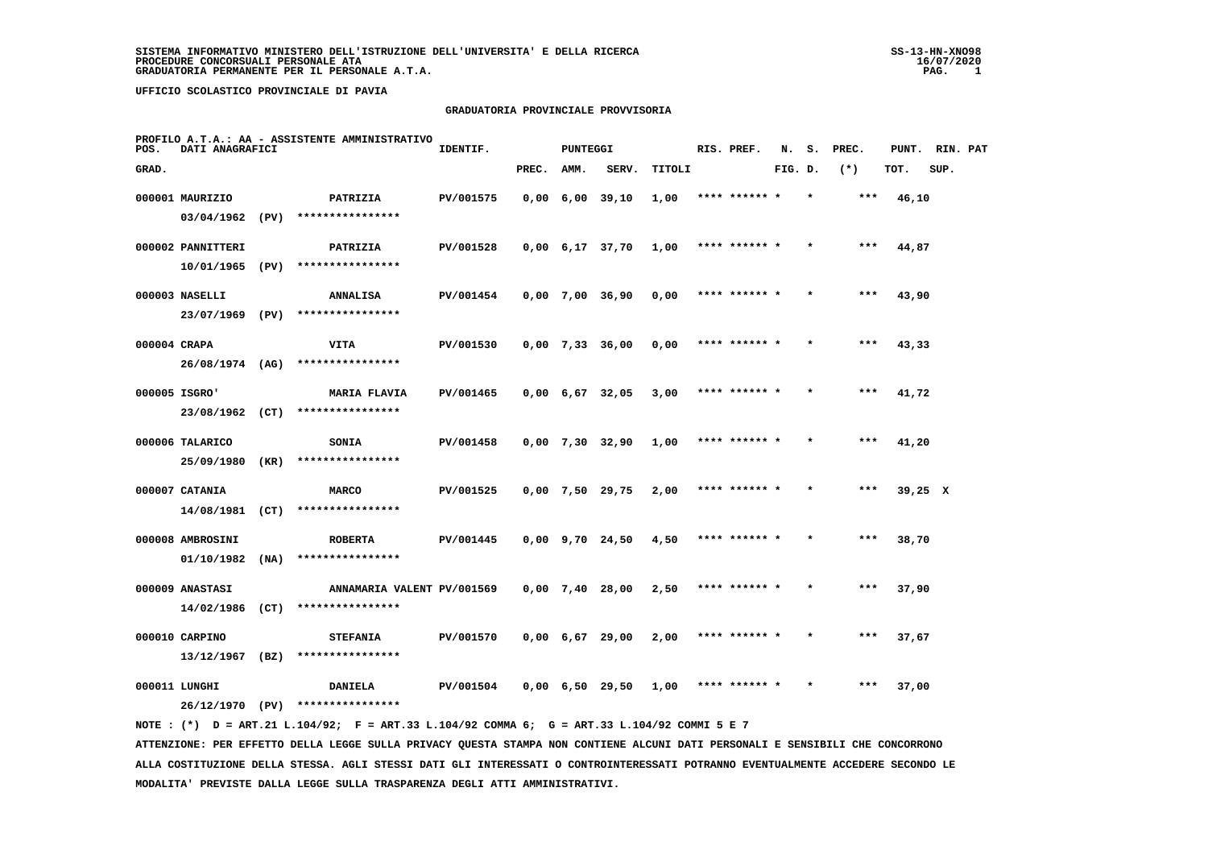**MODALITA' PREVISTE DALLA LEGGE SULLA TRASPARENZA DEGLI ATTI AMMINISTRATIVI.**

 **UFFICIO SCOLASTICO PROVINCIALE DI PAVIA**

#### **GRADUATORIA PROVINCIALE PROVVISORIA**

| POS.         | DATI ANAGRAFICI   |      | PROFILO A.T.A.: AA - ASSISTENTE AMMINISTRATIVO                                                                                  | IDENTIF.  |       | <b>PUNTEGGI</b> |                               |               | RIS. PREF.    | N.      | s. | PREC.   | PUNT.   | RIN. PAT |  |
|--------------|-------------------|------|---------------------------------------------------------------------------------------------------------------------------------|-----------|-------|-----------------|-------------------------------|---------------|---------------|---------|----|---------|---------|----------|--|
| GRAD.        |                   |      |                                                                                                                                 |           | PREC. | AMM.            | SERV.                         | <b>TITOLI</b> |               | FIG. D. |    | $(*)$   | TOT.    | SUP.     |  |
|              | 000001 MAURIZIO   |      | PATRIZIA                                                                                                                        | PV/001575 |       |                 | $0,00$ 6,00 39,10             | 1,00          | **** ****** * |         |    | $***$   | 46,10   |          |  |
|              | 03/04/1962 (PV)   |      | ****************                                                                                                                |           |       |                 |                               |               |               |         |    |         |         |          |  |
|              | 000002 PANNITTERI |      | PATRIZIA                                                                                                                        | PV/001528 |       |                 | $0,00 \quad 6,17 \quad 37,70$ | 1,00          | **** ****** * |         |    | ***     | 44,87   |          |  |
|              | 10/01/1965 (PV)   |      | ****************                                                                                                                |           |       |                 |                               |               |               |         |    |         |         |          |  |
|              | 000003 NASELLI    |      | <b>ANNALISA</b>                                                                                                                 | PV/001454 |       |                 | $0,00$ 7,00 36,90             | 0,00          | **** ****** * |         |    | ***     | 43,90   |          |  |
|              | 23/07/1969 (PV)   |      | ****************                                                                                                                |           |       |                 |                               |               |               |         |    |         |         |          |  |
| 000004 CRAPA |                   |      | <b>VITA</b>                                                                                                                     | PV/001530 |       |                 | $0,00$ 7,33 36,00             | 0,00          |               |         |    | $* * *$ | 43,33   |          |  |
|              | 26/08/1974 (AG)   |      | ****************                                                                                                                |           |       |                 |                               |               |               |         |    |         |         |          |  |
|              | 000005 ISGRO'     |      | <b>MARIA FLAVIA</b>                                                                                                             | PV/001465 |       |                 | $0,00$ 6,67 32,05             | 3,00          | **** ******   |         |    |         | 41,72   |          |  |
|              |                   |      | 23/08/1962 (CT) ****************                                                                                                |           |       |                 |                               |               |               |         |    |         |         |          |  |
|              | 000006 TALARICO   |      | SONIA                                                                                                                           | PV/001458 |       |                 | $0,00$ 7,30 32,90             | 1,00          |               |         |    |         | 41,20   |          |  |
|              | 25/09/1980 (KR)   |      | ****************                                                                                                                |           |       |                 |                               |               |               |         |    |         |         |          |  |
|              | 000007 CATANIA    |      | <b>MARCO</b>                                                                                                                    | PV/001525 |       |                 | $0,00$ 7,50 29,75             | 2,00          | **** ******   |         |    | $***$   | 39,25 X |          |  |
|              | 14/08/1981 (CT)   |      | ****************                                                                                                                |           |       |                 |                               |               |               |         |    |         |         |          |  |
|              | 000008 AMBROSINI  |      | <b>ROBERTA</b>                                                                                                                  | PV/001445 |       |                 | $0,00$ $9,70$ $24,50$         | 4,50          | **** ****** * |         |    | ***     | 38,70   |          |  |
|              | 01/10/1982        | (NA) | ****************                                                                                                                |           |       |                 |                               |               |               |         |    |         |         |          |  |
|              | 000009 ANASTASI   |      | ANNAMARIA VALENT PV/001569                                                                                                      |           |       |                 | $0,00$ 7,40 28,00             | 2,50          | **** ****** * |         |    | $***$   | 37,90   |          |  |
|              | 14/02/1986 (CT)   |      | ****************                                                                                                                |           |       |                 |                               |               |               |         |    |         |         |          |  |
|              | 000010 CARPINO    |      | <b>STEFANIA</b>                                                                                                                 | PV/001570 |       |                 | $0,00$ 6,67 29,00             | 2,00          | **** ****** * |         |    | $***$   | 37,67   |          |  |
|              | $13/12/1967$ (BZ) |      | ****************                                                                                                                |           |       |                 |                               |               |               |         |    |         |         |          |  |
|              | 000011 LUNGHI     |      | <b>DANIELA</b>                                                                                                                  | PV/001504 |       |                 | $0,00 \quad 6,50 \quad 29,50$ | 1,00          | **** ****** * |         |    | ***     | 37,00   |          |  |
|              |                   |      | 26/12/1970 (PV) ****************                                                                                                |           |       |                 |                               |               |               |         |    |         |         |          |  |
|              |                   |      | NOTE: (*) D = ART.21 L.104/92; F = ART.33 L.104/92 COMMA 6; G = ART.33 L.104/92 COMMI 5 E 7                                     |           |       |                 |                               |               |               |         |    |         |         |          |  |
|              |                   |      | ATTENZIONE: PER EFFETTO DELLA LEGGE SULLA PRIVACY QUESTA STAMPA NON CONTIENE ALCUNI DATI PERSONALI E SENSIBILI CHE CONCORRONO   |           |       |                 |                               |               |               |         |    |         |         |          |  |
|              |                   |      | ALLA COSTITUZIONE DELLA STESSA. AGLI STESSI DATI GLI INTERESSATI O CONTROINTERESSATI POTRANNO EVENTUALMENTE ACCEDERE SECONDO LE |           |       |                 |                               |               |               |         |    |         |         |          |  |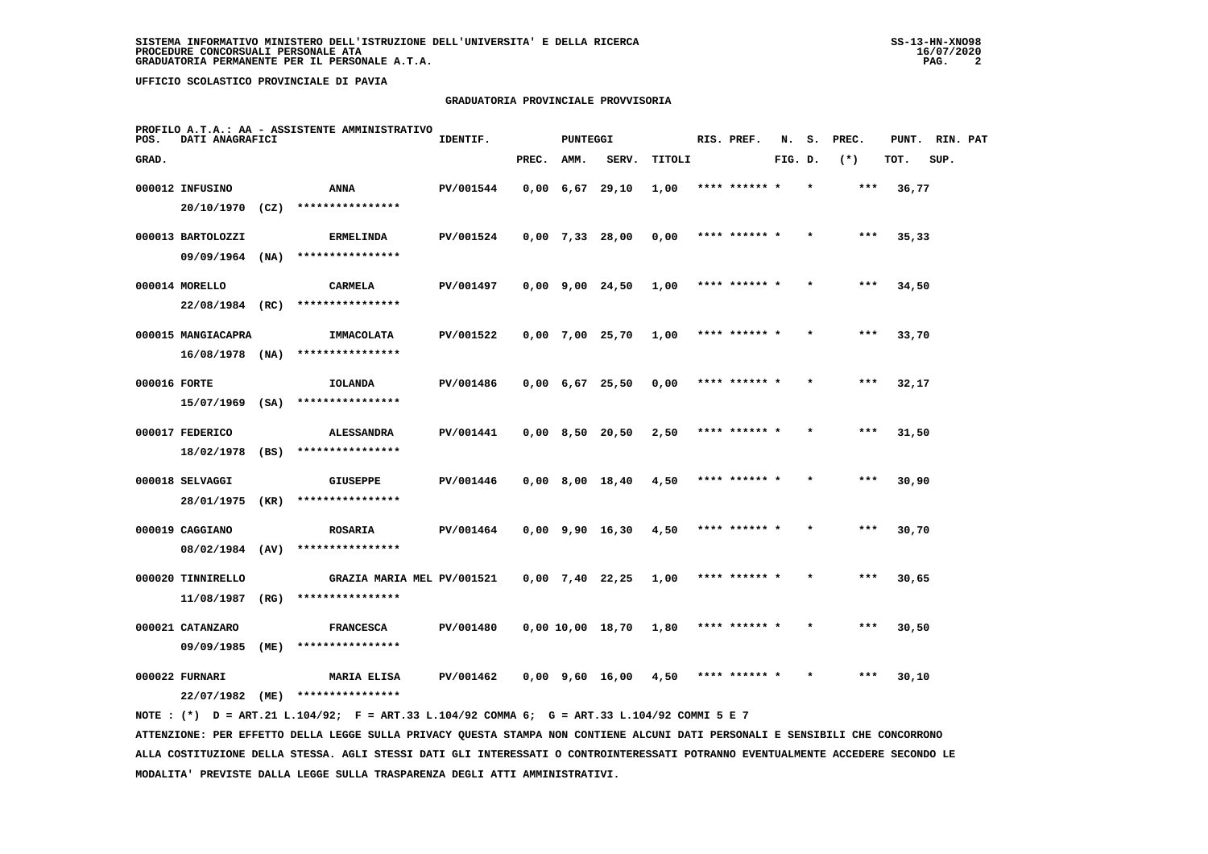### **GRADUATORIA PROVINCIALE PROVVISORIA**

| POS.         | DATI ANAGRAFICI                       |      | PROFILO A.T.A.: AA - ASSISTENTE AMMINISTRATIVO | IDENTIF.  |       | <b>PUNTEGGI</b> |                               |               | RIS. PREF.    | N.      | s. | PREC. | PUNT. RIN. PAT |      |  |
|--------------|---------------------------------------|------|------------------------------------------------|-----------|-------|-----------------|-------------------------------|---------------|---------------|---------|----|-------|----------------|------|--|
| GRAD.        |                                       |      |                                                |           | PREC. | AMM.            | SERV.                         | <b>TITOLI</b> |               | FIG. D. |    | $(*)$ | TOT.           | SUP. |  |
|              | 000012 INFUSINO<br>$20/10/1970$ (CZ)  |      | ANNA<br>****************                       | PV/001544 |       |                 | $0,00 \quad 6,67 \quad 29,10$ | 1,00          | **** ****** * |         |    | ***   | 36,77          |      |  |
|              | 000013 BARTOLOZZI                     |      | <b>ERMELINDA</b><br>****************           | PV/001524 |       |                 | $0,00$ 7,33 28,00             | 0,00          | **** ****** * |         |    | $***$ | 35,33          |      |  |
|              | $09/09/1964$ (NA)<br>000014 MORELLO   |      | <b>CARMELA</b>                                 | PV/001497 |       |                 | $0,00$ $9,00$ $24,50$         | 1,00          | **** ****** * |         |    | ***   | 34,50          |      |  |
|              | 22/08/1984 (RC)<br>000015 MANGIACAPRA |      | ****************<br>IMMACOLATA                 | PV/001522 |       |                 | $0,00$ 7,00 25,70             | 1,00          | **** ****** * |         |    | ***   | 33,70          |      |  |
| 000016 FORTE | $16/08/1978$ (NA)                     |      | ****************<br><b>IOLANDA</b>             | PV/001486 |       |                 | $0,00$ 6,67 25,50             | 0,00          | **** ****** * |         |    | ***   | 32,17          |      |  |
|              | $15/07/1969$ (SA)<br>000017 FEDERICO  |      | ****************<br><b>ALESSANDRA</b>          | PV/001441 |       |                 | $0,00$ 8,50 20,50             | 2,50          | **** ****** * |         |    | ***   | 31,50          |      |  |
|              | 18/02/1978                            | (BS) | ****************                               |           |       |                 |                               |               |               |         |    |       |                |      |  |
|              | 000018 SELVAGGI<br>28/01/1975         | (KR) | <b>GIUSEPPE</b><br>****************            | PV/001446 |       |                 | $0,00$ 8,00 18,40             | 4,50          | **** ****** * |         |    | ***   | 30,90          |      |  |
|              | 000019 CAGGIANO<br>08/02/1984 (AV)    |      | <b>ROSARIA</b><br>****************             | PV/001464 |       |                 | $0,00$ 9,90 16,30             | 4,50          | **** ****** * |         |    | ***   | 30,70          |      |  |
|              | 000020 TINNIRELLO<br>11/08/1987       | (RG) | GRAZIA MARIA MEL PV/001521<br>**************** |           |       |                 | $0,00$ 7,40 22,25             | 1,00          | **** ******   |         |    | ***   | 30,65          |      |  |
|              | 000021 CATANZARO<br>09/09/1985        | (ME) | <b>FRANCESCA</b><br>****************           | PV/001480 |       |                 | 0,00 10,00 18,70              | 1,80          | **** ****** * |         |    | ***   | 30,50          |      |  |
|              | 000022 FURNARI<br>22/07/1982          | (ME) | <b>MARIA ELISA</b><br>****************         | PV/001462 |       |                 | $0,00$ $9,60$ $16,00$         | 4,50          | **** ****** * |         |    | $***$ | 30,10          |      |  |
|              |                                       |      |                                                |           |       |                 |                               |               |               |         |    |       |                |      |  |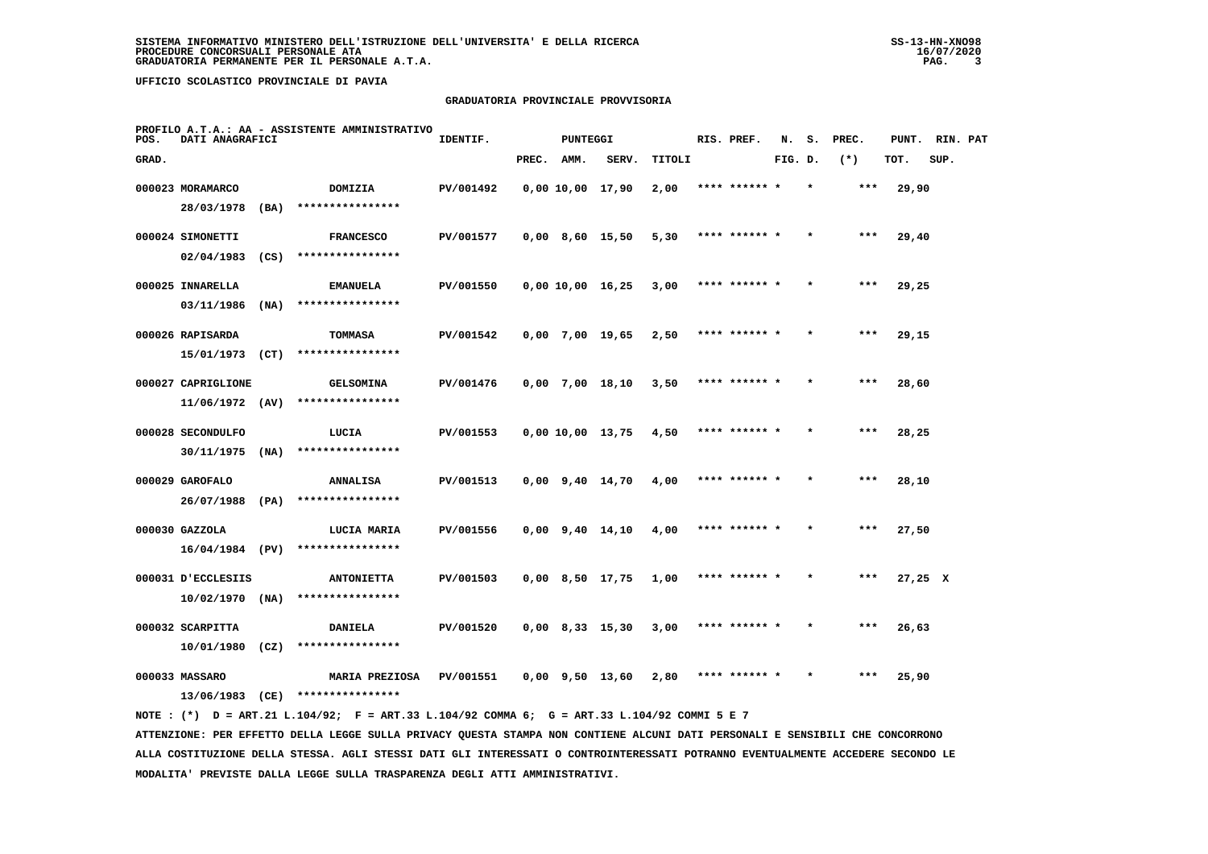### **GRADUATORIA PROVINCIALE PROVVISORIA**

| POS.  | DATI ANAGRAFICI    |      | PROFILO A.T.A.: AA - ASSISTENTE AMMINISTRATIVO | IDENTIF.  |       | <b>PUNTEGGI</b>       |                  |        | RIS. PREF.    | N.      | s.      | PREC. | PUNT.   | RIN. PAT |  |
|-------|--------------------|------|------------------------------------------------|-----------|-------|-----------------------|------------------|--------|---------------|---------|---------|-------|---------|----------|--|
| GRAD. |                    |      |                                                |           | PREC. | AMM.                  | SERV.            | TITOLI |               | FIG. D. |         | $(*)$ | TOT.    | SUP.     |  |
|       | 000023 MORAMARCO   |      | DOMIZIA                                        | PV/001492 |       | 0,00 10,00 17,90      |                  | 2,00   |               |         |         |       | 29,90   |          |  |
|       | 28/03/1978         | (BA) | ****************                               |           |       |                       |                  |        |               |         |         |       |         |          |  |
|       | 000024 SIMONETTI   |      | <b>FRANCESCO</b>                               | PV/001577 |       | $0,00$ 8,60 15,50     |                  | 5,30   | **** ****** * |         |         | ***   | 29,40   |          |  |
|       | 02/04/1983         | (CS) | ****************                               |           |       |                       |                  |        |               |         |         |       |         |          |  |
|       | 000025 INNARELLA   |      | <b>EMANUELA</b>                                | PV/001550 |       | $0,00$ 10,00 16,25    |                  | 3,00   | **** ****** * |         | $\star$ | ***   | 29,25   |          |  |
|       | 03/11/1986         | (NA) | ****************                               |           |       |                       |                  |        |               |         |         |       |         |          |  |
|       | 000026 RAPISARDA   |      | <b>TOMMASA</b>                                 | PV/001542 |       | $0,00$ 7,00 19,65     |                  | 2,50   | **** ****** * |         |         | ***   | 29,15   |          |  |
|       | 15/01/1973         | (CT) | ****************                               |           |       |                       |                  |        |               |         |         |       |         |          |  |
|       | 000027 CAPRIGLIONE |      | <b>GELSOMINA</b>                               | PV/001476 |       | 0,00 7,00 18,10       |                  | 3,50   | **** ****** * |         |         | ***   | 28,60   |          |  |
|       | $11/06/1972$ (AV)  |      | ****************                               |           |       |                       |                  |        |               |         |         |       |         |          |  |
|       | 000028 SECONDULFO  |      | LUCIA                                          | PV/001553 |       |                       | 0,00 10,00 13,75 | 4,50   | **** ****** * |         |         | $***$ | 28,25   |          |  |
|       | 30/11/1975         | (NA) | ****************                               |           |       |                       |                  |        |               |         |         |       |         |          |  |
|       | 000029 GAROFALO    |      | <b>ANNALISA</b>                                | PV/001513 |       | $0,00$ $9,40$ $14,70$ |                  | 4,00   |               |         |         | ***   | 28,10   |          |  |
|       | 26/07/1988 (PA)    |      | ****************                               |           |       |                       |                  |        |               |         |         |       |         |          |  |
|       | 000030 GAZZOLA     |      | LUCIA MARIA                                    | PV/001556 |       | $0,00$ $9,40$ $14,10$ |                  | 4,00   | **** ****** * |         |         | ***   | 27,50   |          |  |
|       | 16/04/1984 (PV)    |      | ****************                               |           |       |                       |                  |        |               |         |         |       |         |          |  |
|       | 000031 D'ECCLESIIS |      | <b>ANTONIETTA</b>                              | PV/001503 |       | $0,00$ 8,50 17,75     |                  | 1,00   | **** ****** * |         | $\star$ | ***   | 27,25 X |          |  |
|       | 10/02/1970         | (NA) | ****************                               |           |       |                       |                  |        |               |         |         |       |         |          |  |
|       | 000032 SCARPITTA   |      | <b>DANIELA</b>                                 | PV/001520 |       | $0,00$ 8,33 15,30     |                  | 3,00   | **** ****** * |         |         | ***   | 26,63   |          |  |
|       | 10/01/1980         | (CZ) | ****************                               |           |       |                       |                  |        |               |         |         |       |         |          |  |
|       | 000033 MASSARO     |      | <b>MARIA PREZIOSA</b>                          | PV/001551 |       | $0.00$ $9.50$ 13.60   |                  | 2,80   | **** ****** * |         |         | ***   | 25,90   |          |  |
|       | 13/06/1983         | (CE) | ****************                               |           |       |                       |                  |        |               |         |         |       |         |          |  |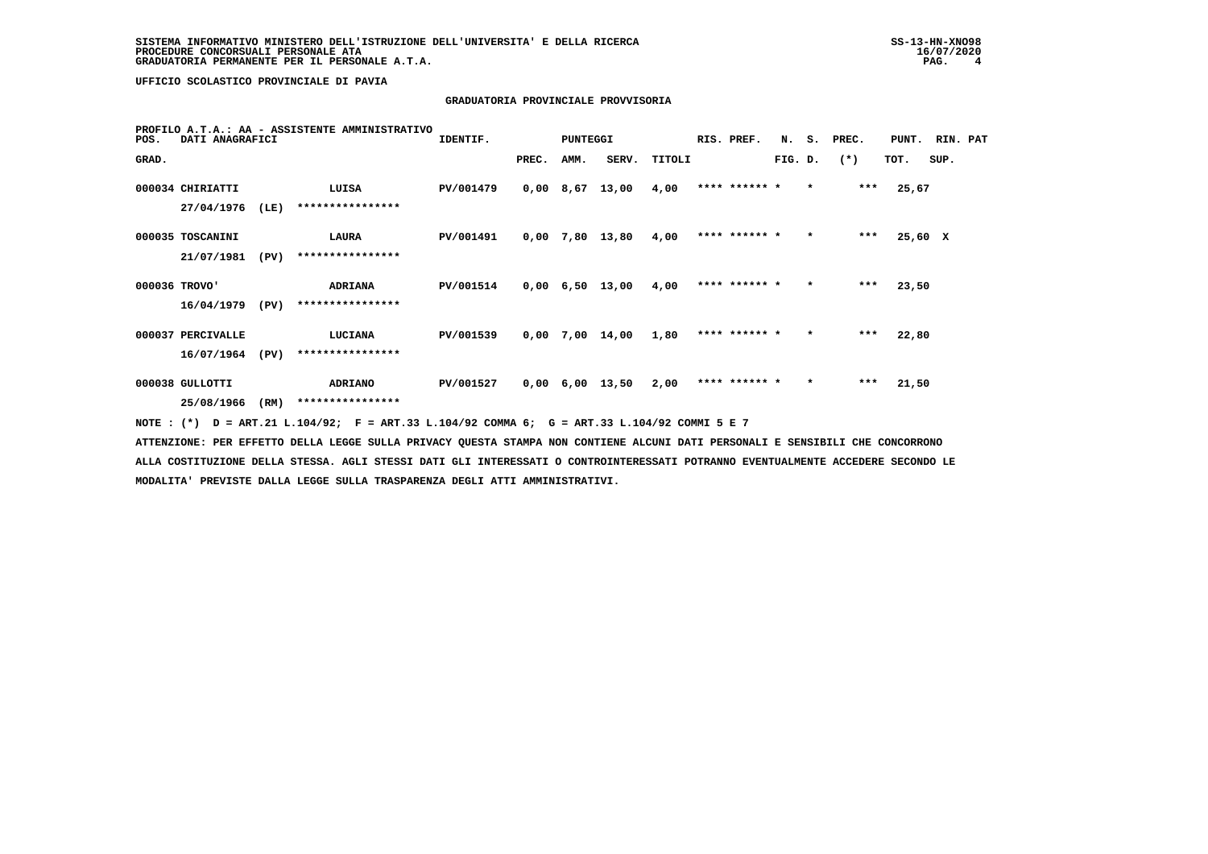# **GRADUATORIA PROVINCIALE PROVVISORIA**

| POS.          | DATI ANAGRAFICI   | PROFILO A.T.A.: AA - ASSISTENTE AMMINISTRATIVO | IDENTIF.                                                                                     |           | PUNTEGGI |      |                               | RIS. PREF. |               |         | N. S. PREC. | PUNT. RIN. PAT |         |      |  |
|---------------|-------------------|------------------------------------------------|----------------------------------------------------------------------------------------------|-----------|----------|------|-------------------------------|------------|---------------|---------|-------------|----------------|---------|------|--|
| GRAD.         |                   |                                                |                                                                                              |           | PREC.    | AMM. | SERV.                         | TITOLI     |               | FIG. D. |             | $(*)$          | TOT.    | SUP. |  |
|               | 000034 CHIRIATTI  |                                                | LUISA                                                                                        | PV/001479 |          |      | $0,00$ 8,67 13,00             | 4,00       | **** ****** * |         | $\star$     | $***$          | 25,67   |      |  |
|               | 27/04/1976        | (LE)                                           | ****************                                                                             |           |          |      |                               |            |               |         |             |                |         |      |  |
|               | 000035 TOSCANINI  |                                                | LAURA                                                                                        | PV/001491 |          |      | 0,00 7,80 13,80               | 4,00       | **** ****** * |         | $\star$     | $***$          | 25,60 X |      |  |
|               | 21/07/1981        | (PV)                                           | ****************                                                                             |           |          |      |                               |            |               |         |             |                |         |      |  |
| 000036 TROVO' |                   |                                                | <b>ADRIANA</b>                                                                               | PV/001514 |          |      | $0,00$ 6,50 13,00             | 4,00       | **** ****** * |         | $\star$     | $***$          | 23,50   |      |  |
|               | 16/04/1979        | (PV)                                           | ****************                                                                             |           |          |      |                               |            |               |         |             |                |         |      |  |
|               | 000037 PERCIVALLE |                                                | <b>LUCIANA</b>                                                                               | PV/001539 |          |      | $0,00$ 7,00 14,00             | 1,80       | **** ****** * |         | $\star$     | $***$          | 22,80   |      |  |
|               | 16/07/1964        | (PV)                                           | ****************                                                                             |           |          |      |                               |            |               |         |             |                |         |      |  |
|               | 000038 GULLOTTI   |                                                | <b>ADRIANO</b>                                                                               | PV/001527 |          |      | $0,00 \quad 6,00 \quad 13,50$ | 2,00       | **** ****** * |         | $\star$     | $***$          | 21,50   |      |  |
|               | 25/08/1966        | (RM)                                           | ****************                                                                             |           |          |      |                               |            |               |         |             |                |         |      |  |
|               |                   |                                                | NOTE : (*) D = ART.21 L.104/92; F = ART.33 L.104/92 COMMA 6; G = ART.33 L.104/92 COMMI 5 E 7 |           |          |      |                               |            |               |         |             |                |         |      |  |

 **ATTENZIONE: PER EFFETTO DELLA LEGGE SULLA PRIVACY QUESTA STAMPA NON CONTIENE ALCUNI DATI PERSONALI E SENSIBILI CHE CONCORRONO ALLA COSTITUZIONE DELLA STESSA. AGLI STESSI DATI GLI INTERESSATI O CONTROINTERESSATI POTRANNO EVENTUALMENTE ACCEDERE SECONDO LE MODALITA' PREVISTE DALLA LEGGE SULLA TRASPARENZA DEGLI ATTI AMMINISTRATIVI.**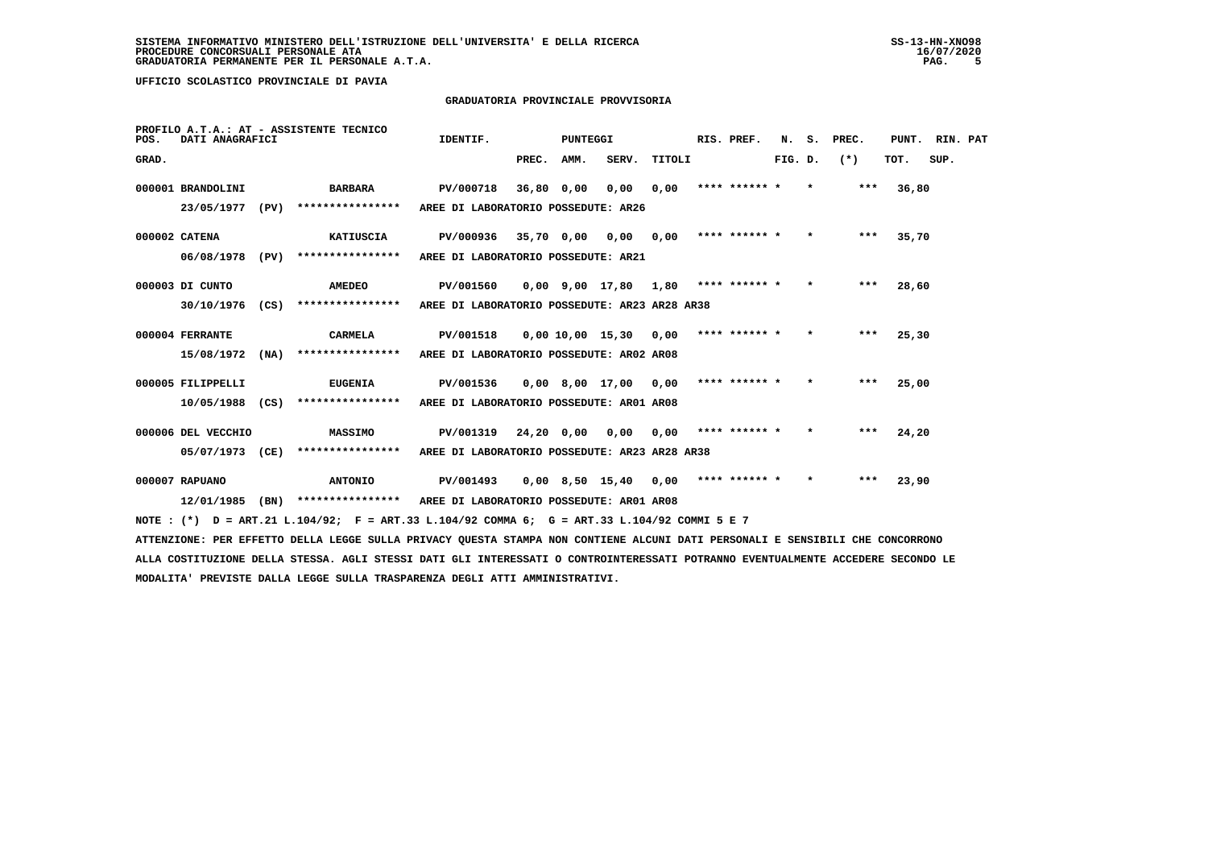### **GRADUATORIA PROVINCIALE PROVVISORIA**

| POS.  | DATI ANAGRAFICI    | PROFILO A.T.A.: AT - ASSISTENTE TECNICO                                                                                         | IDENTIF.                                      |            | <b>PUNTEGGI</b> |                                        |        | RIS. PREF.    | N.      | s.      | PREC. | PUNT. | RIN. PAT |  |
|-------|--------------------|---------------------------------------------------------------------------------------------------------------------------------|-----------------------------------------------|------------|-----------------|----------------------------------------|--------|---------------|---------|---------|-------|-------|----------|--|
| GRAD. |                    |                                                                                                                                 |                                               | PREC.      | AMM.            | SERV.                                  | TITOLI |               | FIG. D. |         | $(*)$ | тот.  | SUP.     |  |
|       | 000001 BRANDOLINI  | BARBARA                                                                                                                         | PV/000718                                     | 36,80 0,00 |                 | 0,00                                   | 0,00   | **** ****** * |         | $\star$ | ***   | 36,80 |          |  |
|       | 23/05/1977 (PV)    | ****************                                                                                                                | AREE DI LABORATORIO POSSEDUTE: AR26           |            |                 |                                        |        |               |         |         |       |       |          |  |
|       | 000002 CATENA      | KATIUSCIA                                                                                                                       | PV/000936                                     |            |                 | 35,70 0,00 0,00                        | 0,00   | **** ****** * |         | $\star$ | ***   | 35,70 |          |  |
|       | 06/08/1978 (PV)    | ****************                                                                                                                | AREE DI LABORATORIO POSSEDUTE: AR21           |            |                 |                                        |        |               |         |         |       |       |          |  |
|       | 000003 DI CUNTO    | <b>AMEDEO</b>                                                                                                                   | PV/001560                                     |            |                 | 0,00 9,00 17,80 1,80 **** ****** *     |        |               |         | $\star$ | ***   | 28,60 |          |  |
|       | 30/10/1976 (CS)    | ****************                                                                                                                | AREE DI LABORATORIO POSSEDUTE: AR23 AR28 AR38 |            |                 |                                        |        |               |         |         |       |       |          |  |
|       | 000004 FERRANTE    | CARMELA                                                                                                                         | PV/001518                                     |            |                 | 0,00 10,00 15,30 0,00                  |        | **** ****** * |         | $\star$ | ***   | 25,30 |          |  |
|       | 15/08/1972 (NA)    | ****************                                                                                                                | AREE DI LABORATORIO POSSEDUTE: AR02 AR08      |            |                 |                                        |        |               |         |         |       |       |          |  |
|       | 000005 FILIPPELLI  | <b>EUGENIA</b>                                                                                                                  | PV/001536                                     |            |                 | 0,00 8,00 17,00                        | 0,00   | **** ****** * |         | $\star$ | ***   | 25,00 |          |  |
|       | 10/05/1988 (CS)    | ****************                                                                                                                | AREE DI LABORATORIO POSSEDUTE: AR01 AR08      |            |                 |                                        |        |               |         |         |       |       |          |  |
|       | 000006 DEL VECCHIO | <b>MASSIMO</b>                                                                                                                  | PV/001319                                     |            |                 | 24,20 0,00 0,00                        | 0,00   | **** ****** * |         | $\star$ | ***   | 24,20 |          |  |
|       | 05/07/1973 (CE)    | ****************                                                                                                                | AREE DI LABORATORIO POSSEDUTE: AR23 AR28 AR38 |            |                 |                                        |        |               |         |         |       |       |          |  |
|       | 000007 RAPUANO     | <b>ANTONIO</b>                                                                                                                  | PV/001493                                     |            |                 | $0,00$ 8,50 15,40 0,00 **** ****** * * |        |               |         |         | ***   | 23,90 |          |  |
|       |                    | 12/01/1985 (BN) *************** AREE DI LABORATORIO POSSEDUTE: AR01 AR08                                                        |                                               |            |                 |                                        |        |               |         |         |       |       |          |  |
|       |                    | NOTE: (*) D = ART.21 L.104/92; F = ART.33 L.104/92 COMMA 6; G = ART.33 L.104/92 COMMI 5 E 7                                     |                                               |            |                 |                                        |        |               |         |         |       |       |          |  |
|       |                    | ATTENZIONE: PER EFFETTO DELLA LEGGE SULLA PRIVACY QUESTA STAMPA NON CONTIENE ALCUNI DATI PERSONALI E SENSIBILI CHE CONCORRONO   |                                               |            |                 |                                        |        |               |         |         |       |       |          |  |
|       |                    | ALLA COSTITUZIONE DELLA STESSA. AGLI STESSI DATI GLI INTERESSATI O CONTROINTERESSATI POTRANNO EVENTUALMENTE ACCEDERE SECONDO LE |                                               |            |                 |                                        |        |               |         |         |       |       |          |  |
|       |                    | MODALITA' PREVISTE DALLA LEGGE SULLA TRASPARENZA DEGLI ATTI AMMINISTRATIVI.                                                     |                                               |            |                 |                                        |        |               |         |         |       |       |          |  |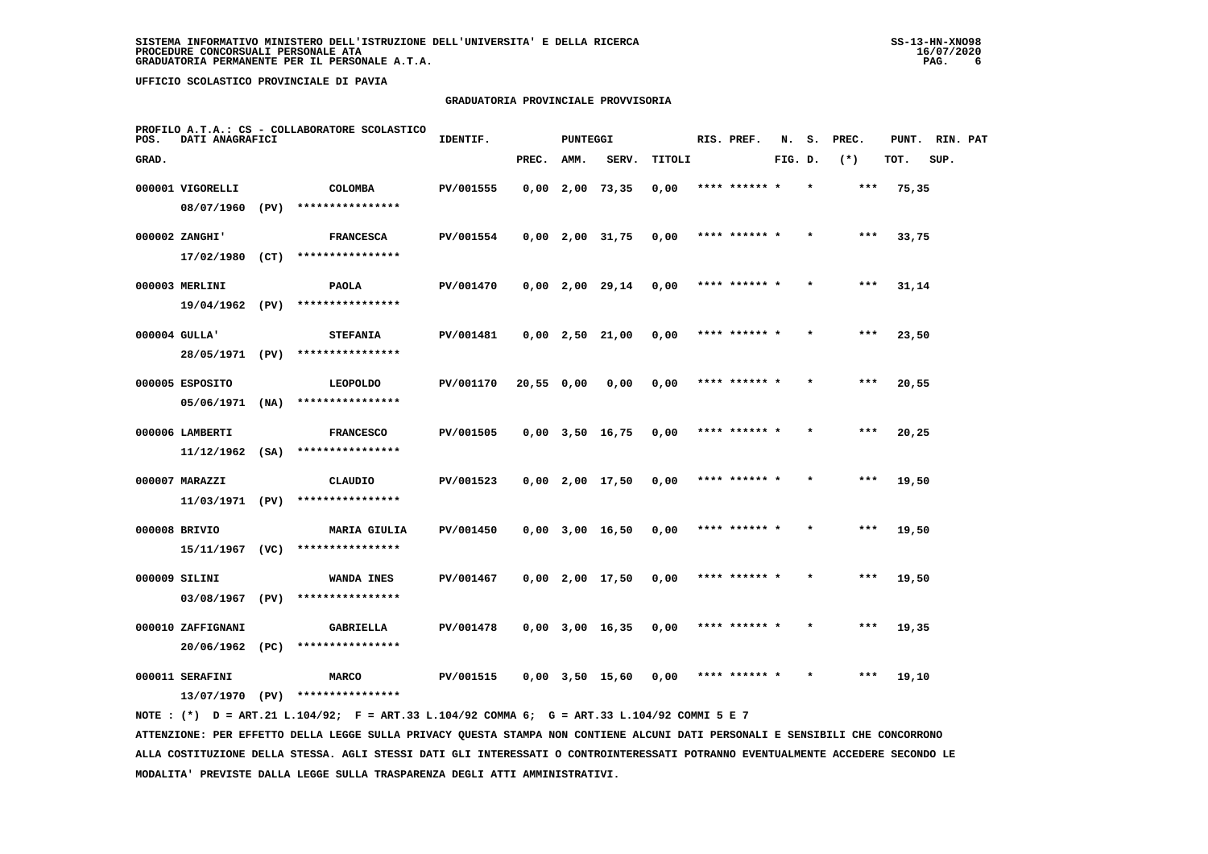### **GRADUATORIA PROVINCIALE PROVVISORIA**

| POS.  | DATI ANAGRAFICI               |      | PROFILO A.T.A.: CS - COLLABORATORE SCOLASTICO | IDENTIF.  |           | <b>PUNTEGGI</b> |                       |        | RIS. PREF.    | N.      | s.      | PREC. | PUNT. | RIN. PAT |  |
|-------|-------------------------------|------|-----------------------------------------------|-----------|-----------|-----------------|-----------------------|--------|---------------|---------|---------|-------|-------|----------|--|
| GRAD. |                               |      |                                               |           | PREC.     | AMM.            | SERV.                 | TITOLI |               | FIG. D. |         | $(*)$ | TOT.  | SUP.     |  |
|       | 000001 VIGORELLI              |      | <b>COLOMBA</b>                                | PV/001555 |           |                 | $0,00$ 2,00 73,35     | 0,00   | **** ****** * |         | $\star$ | ***   | 75,35 |          |  |
|       | 08/07/1960                    | (PV) | ****************                              |           |           |                 |                       |        |               |         |         |       |       |          |  |
|       | 000002 ZANGHI'                |      | <b>FRANCESCA</b>                              | PV/001554 |           |                 | $0,00$ 2,00 31,75     | 0,00   | **** ****** * |         |         | $***$ | 33,75 |          |  |
|       | 17/02/1980 (CT)               |      | ****************                              |           |           |                 |                       |        |               |         |         |       |       |          |  |
|       | 000003 MERLINI                |      | <b>PAOLA</b>                                  | PV/001470 |           |                 | $0,00$ 2,00 29,14     | 0,00   | **** ****** * |         |         | ***   | 31,14 |          |  |
|       | 19/04/1962 (PV)               |      | ****************                              |           |           |                 |                       |        |               |         |         |       |       |          |  |
|       | 000004 GULLA'                 |      | <b>STEFANIA</b>                               | PV/001481 |           |                 | $0,00$ 2,50 21,00     | 0,00   | **** ****** * |         |         | $***$ | 23,50 |          |  |
|       | 28/05/1971 (PV)               |      | ****************                              |           |           |                 |                       |        |               |         |         |       |       |          |  |
|       | 000005 ESPOSITO               |      | <b>LEOPOLDO</b>                               | PV/001170 | 20,550,00 |                 | 0,00                  | 0,00   | **** ****** * |         |         | $***$ | 20,55 |          |  |
|       | 05/06/1971                    | (NA) | ****************                              |           |           |                 |                       |        |               |         |         |       |       |          |  |
|       | 000006 LAMBERTI               |      | <b>FRANCESCO</b>                              | PV/001505 |           |                 | $0,00$ $3,50$ $16,75$ | 0,00   | **** ****** * |         |         | ***   | 20,25 |          |  |
|       | $11/12/1962$ (SA)             |      | ****************                              |           |           |                 |                       |        |               |         |         |       |       |          |  |
|       | 000007 MARAZZI                |      | CLAUDIO                                       | PV/001523 |           |                 | $0,00$ 2,00 17,50     | 0,00   | **** ******   |         |         | ***   | 19,50 |          |  |
|       | 11/03/1971 (PV)               |      | ****************                              |           |           |                 |                       |        |               |         |         |       |       |          |  |
|       | 000008 BRIVIO                 |      | <b>MARIA GIULIA</b>                           | PV/001450 |           |                 | $0,00$ 3,00 16,50     | 0,00   | **** ****** * |         |         | $***$ | 19,50 |          |  |
|       | 15/11/1967 (VC)               |      | ****************                              |           |           |                 |                       |        |               |         |         |       |       |          |  |
|       | 000009 SILINI                 |      | WANDA INES                                    | PV/001467 |           |                 | $0,00$ 2,00 17,50     | 0,00   | **** ****** * |         | $\star$ | $***$ | 19,50 |          |  |
|       | 03/08/1967                    | (PV) | ****************                              |           |           |                 |                       |        |               |         |         |       |       |          |  |
|       | 000010 ZAFFIGNANI             |      | GABRIELLA<br>****************                 | PV/001478 |           |                 | $0,00$ 3,00 16,35     | 0,00   | **** ****** * |         |         | ***   | 19,35 |          |  |
|       | 20/06/1962 (PC)               |      |                                               |           |           |                 |                       |        |               |         |         |       |       |          |  |
|       | 000011 SERAFINI<br>13/07/1970 | (PV) | <b>MARCO</b><br>****************              | PV/001515 |           |                 | $0,00$ $3,50$ $15,60$ | 0.00   | **** ****** * |         |         | ***   | 19,10 |          |  |
|       |                               |      |                                               |           |           |                 |                       |        |               |         |         |       |       |          |  |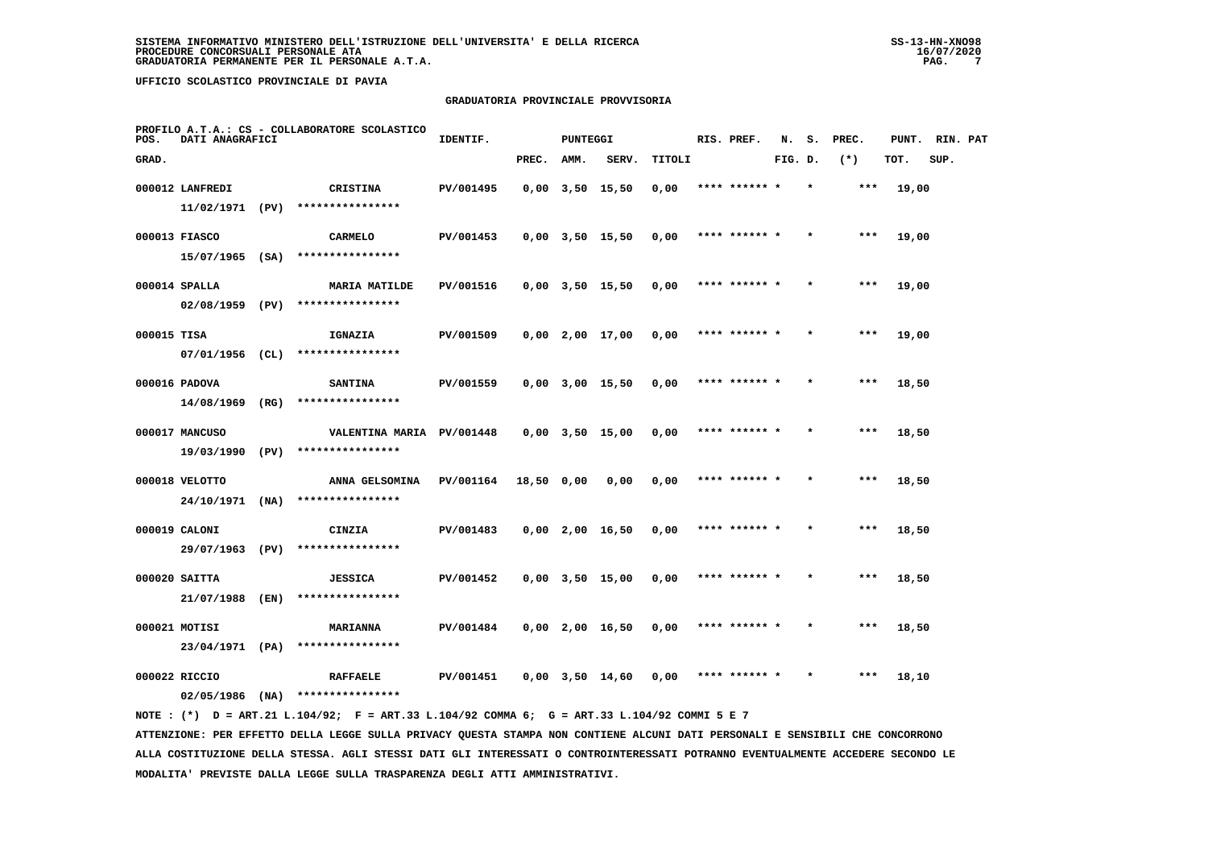### **GRADUATORIA PROVINCIALE PROVVISORIA**

| POS.        | DATI ANAGRAFICI                     | PROFILO A.T.A.: CS - COLLABORATORE SCOLASTICO        | IDENTIF.  |            | <b>PUNTEGGI</b> |                       |               | RIS. PREF.    | N.      | s.      | PREC. | PUNT. | RIN. PAT |  |
|-------------|-------------------------------------|------------------------------------------------------|-----------|------------|-----------------|-----------------------|---------------|---------------|---------|---------|-------|-------|----------|--|
| GRAD.       |                                     |                                                      |           | PREC.      | AMM.            | SERV.                 | <b>TITOLI</b> |               | FIG. D. |         | $(*)$ | TOT.  | SUP.     |  |
|             | 000012 LANFREDI<br>11/02/1971 (PV)  | CRISTINA<br>****************                         | PV/001495 |            |                 | $0.00$ $3.50$ 15.50   | 0,00          | **** ****** * |         | $\star$ | ***   | 19,00 |          |  |
|             | 000013 FIASCO                       | <b>CARMELO</b><br>$15/07/1965$ (SA) **************** | PV/001453 |            |                 | $0,00$ $3,50$ $15,50$ | 0,00          | **** ****** * |         |         | $***$ | 19,00 |          |  |
|             | 000014 SPALLA<br>02/08/1959 (PV)    | <b>MARIA MATILDE</b><br>****************             | PV/001516 |            |                 | $0,00$ $3,50$ $15,50$ | 0,00          | **** ****** * |         |         | ***   | 19,00 |          |  |
| 000015 TISA | 07/01/1956 (CL)                     | IGNAZIA<br>****************                          | PV/001509 |            |                 | $0,00$ $2,00$ $17,00$ | 0,00          | **** ****** * |         | $\star$ | $***$ | 19,00 |          |  |
|             | 000016 PADOVA<br>$14/08/1969$ (RG)  | <b>SANTINA</b><br>****************                   | PV/001559 |            |                 | $0,00$ $3,00$ $15,50$ | 0,00          | **** ****** * |         |         | ***   | 18,50 |          |  |
|             | 000017 MANCUSO<br>19/03/1990 (PV)   | VALENTINA MARIA PV/001448<br>****************        |           |            |                 | $0,00$ $3,50$ $15,00$ | 0,00          | **** ****** * |         |         | ***   | 18,50 |          |  |
|             | 000018 VELOTTO<br>$24/10/1971$ (NA) | ANNA GELSOMINA<br>****************                   | PV/001164 | 18,50 0,00 |                 | 0,00                  | 0,00          | **** ****** * |         |         | ***   | 18,50 |          |  |
|             | 000019 CALONI<br>29/07/1963 (PV)    | CINZIA<br>****************                           | PV/001483 |            |                 | 0,00 2,00 16,50       | 0,00          | **** ****** * |         |         | ***   | 18,50 |          |  |
|             | 000020 SAITTA<br>21/07/1988 (EN)    | <b>JESSICA</b><br>****************                   | PV/001452 |            |                 | $0,00$ $3,50$ $15,00$ | 0,00          | **** ****** * |         |         | $***$ | 18,50 |          |  |
|             | 000021 MOTISI                       | <b>MARIANNA</b><br>23/04/1971 (PA) ****************  | PV/001484 |            |                 | $0,00$ 2,00 16,50     | 0,00          | **** ****** * |         |         | ***   | 18,50 |          |  |
|             | 000022 RICCIO<br>$02/05/1986$ (NA)  | <b>RAFFAELE</b><br>****************                  | PV/001451 |            |                 | $0,00$ $3,50$ $14,60$ | 0,00          | **** ****** * |         |         | ***   | 18,10 |          |  |
|             |                                     |                                                      |           |            |                 |                       |               |               |         |         |       |       |          |  |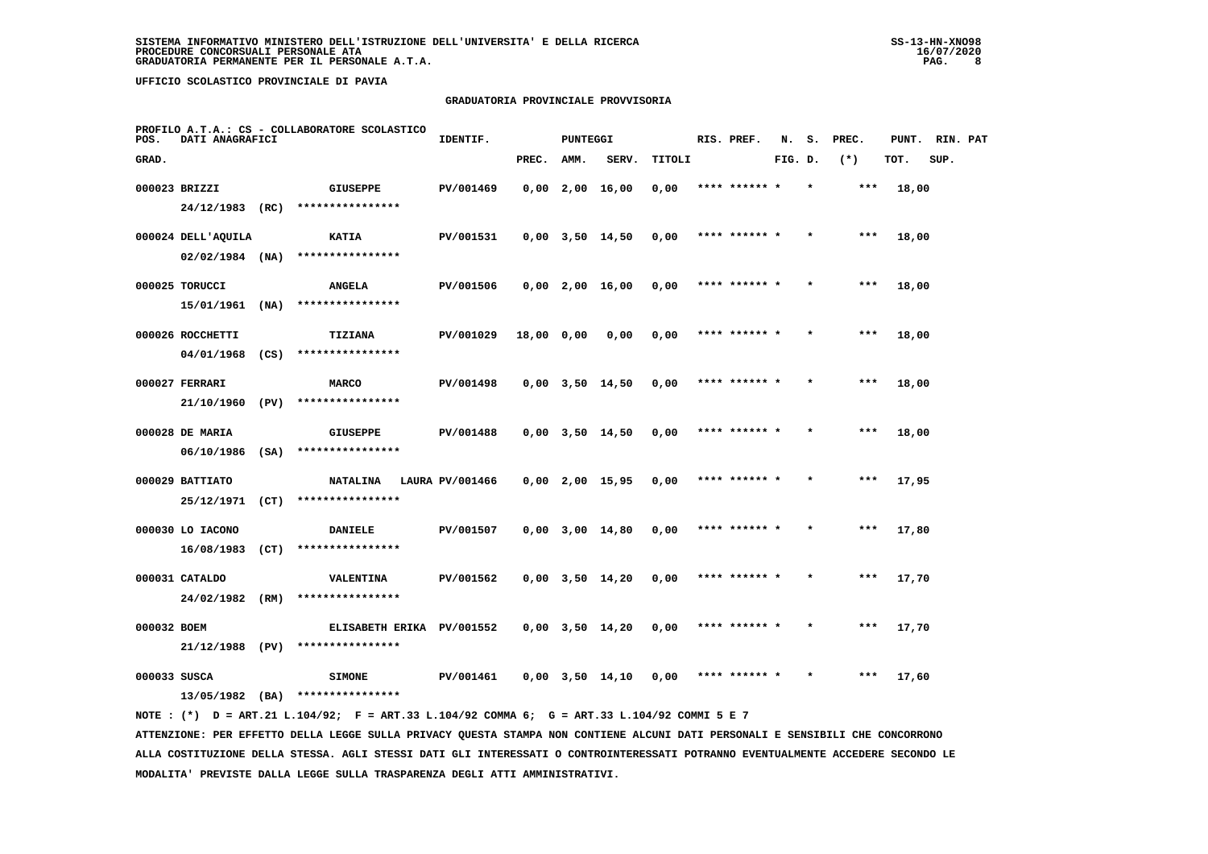### **GRADUATORIA PROVINCIALE PROVVISORIA**

| POS.         | DATI ANAGRAFICI    |      | PROFILO A.T.A.: CS - COLLABORATORE SCOLASTICO                                               | IDENTIF.        |            | <b>PUNTEGGI</b> |                       |        | RIS. PREF.    | N.      | s.      | PREC. | PUNT. | RIN. PAT |  |
|--------------|--------------------|------|---------------------------------------------------------------------------------------------|-----------------|------------|-----------------|-----------------------|--------|---------------|---------|---------|-------|-------|----------|--|
| GRAD.        |                    |      |                                                                                             |                 | PREC.      | AMM.            | SERV.                 | TITOLI |               | FIG. D. |         | $(*)$ | TOT.  | SUP.     |  |
|              | 000023 BRIZZI      |      | <b>GIUSEPPE</b>                                                                             | PV/001469       |            |                 | $0,00$ 2,00 16,00     | 0,00   | **** ****** * |         | $\star$ | ***   | 18,00 |          |  |
|              | 24/12/1983 (RC)    |      | ****************                                                                            |                 |            |                 |                       |        |               |         |         |       |       |          |  |
|              | 000024 DELL'AQUILA |      | <b>KATIA</b>                                                                                | PV/001531       |            |                 | $0,00$ $3,50$ $14,50$ | 0,00   | **** ****** * |         |         | $***$ | 18,00 |          |  |
|              | $02/02/1984$ (NA)  |      | ****************                                                                            |                 |            |                 |                       |        |               |         |         |       |       |          |  |
|              | 000025 TORUCCI     |      | <b>ANGELA</b>                                                                               | PV/001506       |            |                 | $0.00$ $2.00$ $16.00$ | 0,00   | **** ****** * |         |         | $***$ | 18,00 |          |  |
|              | 15/01/1961 (NA)    |      | ****************                                                                            |                 |            |                 |                       |        |               |         |         |       |       |          |  |
|              | 000026 ROCCHETTI   |      | TIZIANA                                                                                     | PV/001029       | 18,00 0,00 |                 | 0,00                  | 0,00   | **** ******   |         |         | ***   | 18,00 |          |  |
|              | 04/01/1968 (CS)    |      | ****************                                                                            |                 |            |                 |                       |        |               |         |         |       |       |          |  |
|              | 000027 FERRARI     |      | <b>MARCO</b>                                                                                | PV/001498       |            |                 | $0,00$ $3,50$ $14,50$ | 0,00   | **** ****** * |         |         | ***   | 18,00 |          |  |
|              | 21/10/1960 (PV)    |      | ****************                                                                            |                 |            |                 |                       |        |               |         |         |       |       |          |  |
|              | 000028 DE MARIA    |      | <b>GIUSEPPE</b>                                                                             | PV/001488       |            |                 | $0,00$ $3,50$ $14,50$ | 0,00   | **** ****** * |         |         | ***   | 18,00 |          |  |
|              | $06/10/1986$ (SA)  |      | ****************                                                                            |                 |            |                 |                       |        |               |         |         |       |       |          |  |
|              | 000029 BATTIATO    |      | <b>NATALINA</b>                                                                             | LAURA PV/001466 |            |                 | $0,00$ 2,00 15,95     | 0,00   | **** ****** * |         |         | $***$ | 17,95 |          |  |
|              | 25/12/1971 (CT)    |      | ****************                                                                            |                 |            |                 |                       |        |               |         |         |       |       |          |  |
|              | 000030 LO IACONO   |      | <b>DANIELE</b>                                                                              | PV/001507       |            |                 | $0,00$ $3,00$ $14,80$ | 0,00   | **** ****** * |         |         | ***   | 17,80 |          |  |
|              | 16/08/1983         | (CT) | ****************                                                                            |                 |            |                 |                       |        |               |         |         |       |       |          |  |
|              | 000031 CATALDO     |      | <b>VALENTINA</b>                                                                            | PV/001562       |            |                 | $0,00$ $3,50$ $14,20$ | 0,00   | **** ****** * |         |         | ***   | 17,70 |          |  |
|              | 24/02/1982         | (RM) | ****************                                                                            |                 |            |                 |                       |        |               |         |         |       |       |          |  |
| 000032 BOEM  |                    |      | ELISABETH ERIKA PV/001552                                                                   |                 |            |                 | $0,00$ $3,50$ $14,20$ | 0,00   | **** ****** * |         |         | ***   | 17,70 |          |  |
|              | 21/12/1988 (PV)    |      | ****************                                                                            |                 |            |                 |                       |        |               |         |         |       |       |          |  |
| 000033 SUSCA |                    |      | <b>SIMONE</b>                                                                               | PV/001461       |            |                 | 0,00 3,50 14,10       | 0,00   | **** ****** * |         |         | ***   | 17,60 |          |  |
|              |                    |      | $13/05/1982$ (BA) ****************                                                          |                 |            |                 |                       |        |               |         |         |       |       |          |  |
|              |                    |      | NOTE: (*) D = ART.21 L.104/92; F = ART.33 L.104/92 COMMA 6; G = ART.33 L.104/92 COMMI 5 E 7 |                 |            |                 |                       |        |               |         |         |       |       |          |  |

 **ATTENZIONE: PER EFFETTO DELLA LEGGE SULLA PRIVACY QUESTA STAMPA NON CONTIENE ALCUNI DATI PERSONALI E SENSIBILI CHE CONCORRONO ALLA COSTITUZIONE DELLA STESSA. AGLI STESSI DATI GLI INTERESSATI O CONTROINTERESSATI POTRANNO EVENTUALMENTE ACCEDERE SECONDO LE MODALITA' PREVISTE DALLA LEGGE SULLA TRASPARENZA DEGLI ATTI AMMINISTRATIVI.**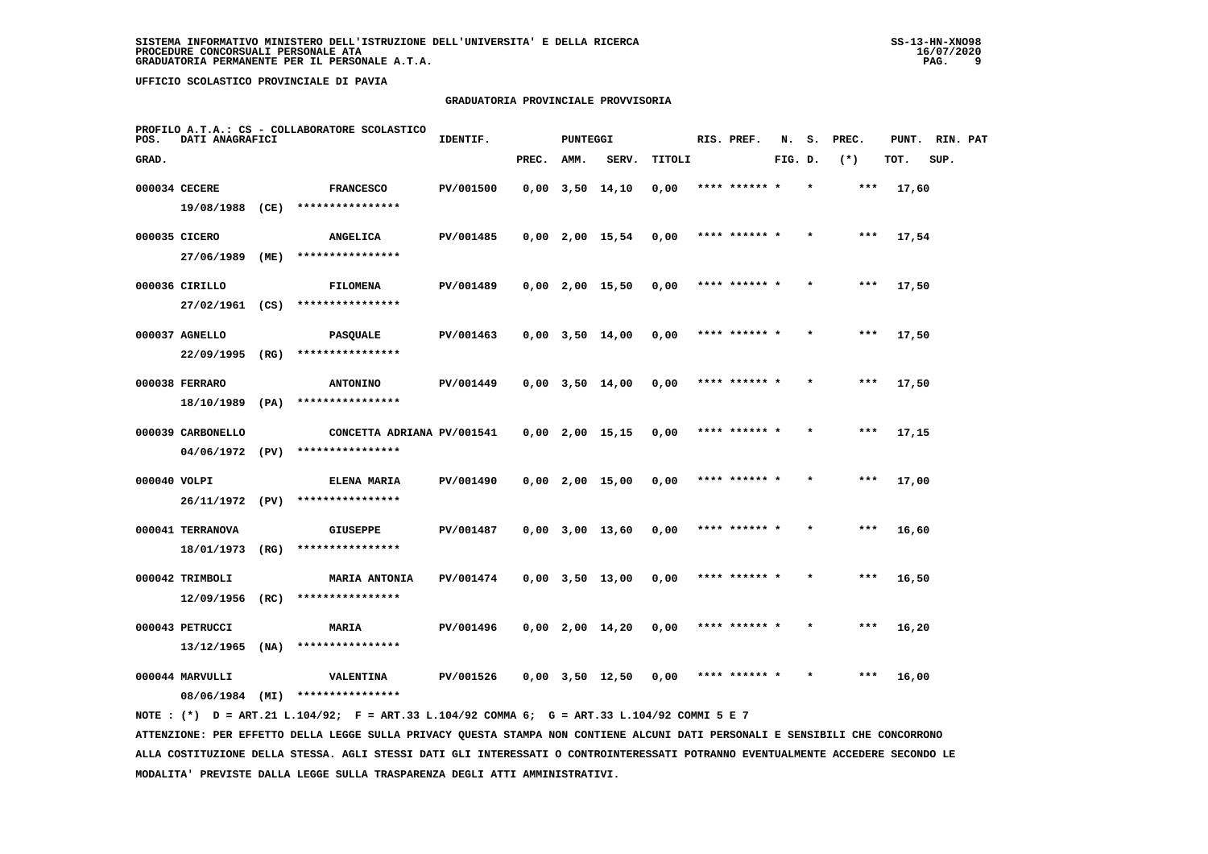### **GRADUATORIA PROVINCIALE PROVVISORIA**

| POS.  | DATI ANAGRAFICI                      |      | PROFILO A.T.A.: CS - COLLABORATORE SCOLASTICO  | IDENTIF.  |       | <b>PUNTEGGI</b> |                       |        | RIS. PREF.    | N.      | s. | PREC. | PUNT. | RIN. PAT |  |
|-------|--------------------------------------|------|------------------------------------------------|-----------|-------|-----------------|-----------------------|--------|---------------|---------|----|-------|-------|----------|--|
| GRAD. |                                      |      |                                                |           | PREC. | AMM.            | SERV.                 | TITOLI |               | FIG. D. |    | $(*)$ | TOT.  | SUP.     |  |
|       | 000034 CECERE<br>19/08/1988 (CE)     |      | <b>FRANCESCO</b><br>****************           | PV/001500 |       |                 | $0,00$ $3,50$ $14,10$ | 0,00   | **** ****** * |         |    | ***   | 17,60 |          |  |
|       | 000035 CICERO                        |      | <b>ANGELICA</b>                                | PV/001485 |       |                 | $0,00$ 2,00 15,54     | 0,00   | **** ****** * |         |    | $***$ | 17,54 |          |  |
|       | 27/06/1989<br>000036 CIRILLO         | (ME) | ****************<br><b>FILOMENA</b>            | PV/001489 |       |                 | $0,00$ 2,00 15,50     | 0,00   | **** ****** * |         |    | ***   | 17,50 |          |  |
|       | 27/02/1961 (CS)                      |      | ****************                               |           |       |                 |                       |        |               |         |    |       |       |          |  |
|       | 000037 AGNELLO<br>22/09/1995         | (RG) | <b>PASQUALE</b><br>****************            | PV/001463 |       |                 | $0,00$ $3,50$ $14,00$ | 0,00   | **** ****** * |         |    | ***   | 17,50 |          |  |
|       | 000038 FERRARO                       |      | <b>ANTONINO</b>                                | PV/001449 |       |                 | $0,00$ $3,50$ $14,00$ | 0,00   | **** ****** * |         |    | $***$ | 17,50 |          |  |
|       | 18/10/1989 (PA)<br>000039 CARBONELLO |      | ****************<br>CONCETTA ADRIANA PV/001541 |           |       |                 | $0,00$ 2,00 15,15     | 0,00   | **** ****** * |         |    | $***$ | 17,15 |          |  |
|       | 04/06/1972 (PV)<br>000040 VOLPI      |      | ****************<br>ELENA MARIA                | PV/001490 |       |                 | $0,00$ 2,00 15,00     | 0,00   | **** ****** * |         |    | ***   | 17,00 |          |  |
|       | 26/11/1972 (PV)                      |      | ****************                               |           |       |                 |                       |        |               |         |    |       |       |          |  |
|       | 000041 TERRANOVA<br>18/01/1973       | (RG) | GIUSEPPE<br>****************                   | PV/001487 |       |                 | $0.00$ $3.00$ $13.60$ | 0,00   | **** ****** * |         |    | $***$ | 16,60 |          |  |
|       | 000042 TRIMBOLI                      |      | <b>MARIA ANTONIA</b>                           | PV/001474 |       |                 | $0,00$ $3,50$ $13,00$ | 0,00   | **** ****** * |         |    | ***   | 16,50 |          |  |
|       | 12/09/1956<br>000043 PETRUCCI        | (RC) | ****************<br><b>MARIA</b>               | PV/001496 |       |                 | $0,00$ 2,00 14,20     | 0,00   | **** ****** * |         |    | $***$ | 16,20 |          |  |
|       | 13/12/1965                           | (NA) | ****************                               |           |       |                 |                       |        |               |         |    |       |       |          |  |
|       | 000044 MARVULLI<br>08/06/1984        | (MI) | <b>VALENTINA</b><br>****************           | PV/001526 |       |                 | $0,00$ $3,50$ $12,50$ | 0,00   | **** ****** * |         |    | ***   | 16,00 |          |  |
|       |                                      |      |                                                |           |       |                 |                       |        |               |         |    |       |       |          |  |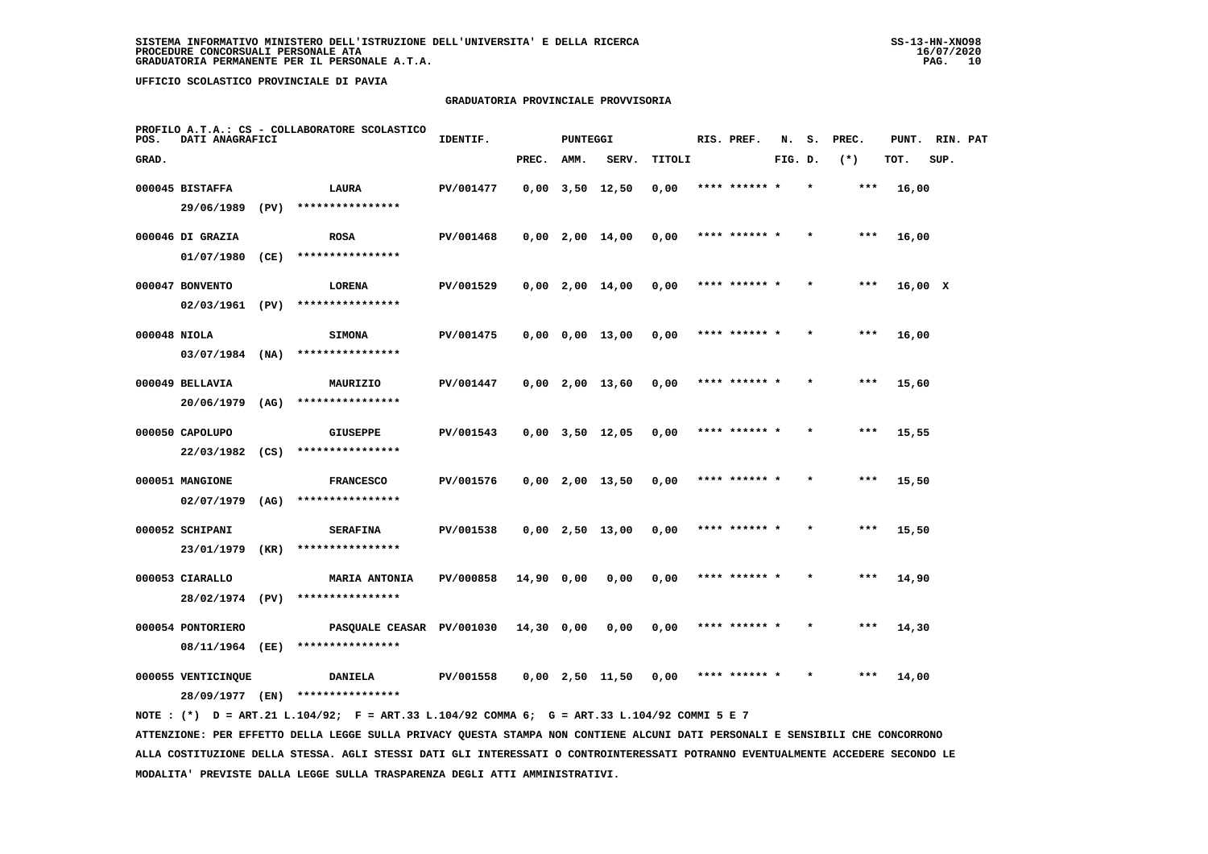### **GRADUATORIA PROVINCIALE PROVVISORIA**

| POS.         | DATI ANAGRAFICI    |      | PROFILO A.T.A.: CS - COLLABORATORE SCOLASTICO                                               | IDENTIF.  |              | <b>PUNTEGGI</b> |                               |        | RIS. PREF.    | N.      | s.      | PREC. | PUNT.   | RIN. PAT |  |
|--------------|--------------------|------|---------------------------------------------------------------------------------------------|-----------|--------------|-----------------|-------------------------------|--------|---------------|---------|---------|-------|---------|----------|--|
| GRAD.        |                    |      |                                                                                             |           | PREC.        | AMM.            | SERV.                         | TITOLI |               | FIG. D. |         | $(*)$ | TOT.    | SUP.     |  |
|              | 000045 BISTAFFA    |      | LAURA                                                                                       | PV/001477 |              |                 | $0,00$ $3,50$ $12,50$         | 0,00   | **** ****** * |         | $\star$ | $***$ | 16,00   |          |  |
|              | 29/06/1989         | (PV) | ****************                                                                            |           |              |                 |                               |        |               |         |         |       |         |          |  |
|              | 000046 DI GRAZIA   |      | <b>ROSA</b>                                                                                 | PV/001468 |              |                 | $0,00$ 2,00 14,00             | 0,00   | **** ****** * |         |         | $***$ | 16,00   |          |  |
|              | 01/07/1980         | (CE) | ****************                                                                            |           |              |                 |                               |        |               |         |         |       |         |          |  |
|              | 000047 BONVENTO    |      | LORENA                                                                                      | PV/001529 |              |                 | $0.00 \quad 2.00 \quad 14.00$ | 0,00   | **** ****** * |         |         | $***$ | 16,00 X |          |  |
|              | 02/03/1961 (PV)    |      | ****************                                                                            |           |              |                 |                               |        |               |         |         |       |         |          |  |
| 000048 NIOLA |                    |      | <b>SIMONA</b>                                                                               | PV/001475 |              |                 | $0.00 \t 0.00 \t 13.00$       | 0,00   | **** ******   |         |         | ***   | 16,00   |          |  |
|              | $03/07/1984$ (NA)  |      | ****************                                                                            |           |              |                 |                               |        |               |         |         |       |         |          |  |
|              | 000049 BELLAVIA    |      | MAURIZIO                                                                                    | PV/001447 |              |                 | $0,00$ 2,00 13,60             | 0,00   | **** ****** * |         |         | $***$ | 15,60   |          |  |
|              | 20/06/1979         | (AG) | ****************                                                                            |           |              |                 |                               |        |               |         |         |       |         |          |  |
|              | 000050 CAPOLUPO    |      | <b>GIUSEPPE</b>                                                                             | PV/001543 |              |                 | $0,00$ $3,50$ $12,05$         | 0,00   | **** ****** * |         |         | ***   | 15,55   |          |  |
|              | 22/03/1982         | (CS) | ****************                                                                            |           |              |                 |                               |        |               |         |         |       |         |          |  |
|              | 000051 MANGIONE    |      | <b>FRANCESCO</b>                                                                            | PV/001576 |              |                 | $0,00$ 2,00 13,50             | 0,00   | **** ****** * |         |         | $***$ | 15,50   |          |  |
|              | 02/07/1979         | (AG) | ****************                                                                            |           |              |                 |                               |        |               |         |         |       |         |          |  |
|              | 000052 SCHIPANI    |      | <b>SERAFINA</b>                                                                             | PV/001538 |              |                 | $0,00$ 2,50 13,00             | 0,00   | **** ****** * |         |         | ***   | 15,50   |          |  |
|              | 23/01/1979         | (KR) | ****************                                                                            |           |              |                 |                               |        |               |         |         |       |         |          |  |
|              | 000053 CIARALLO    |      | <b>MARIA ANTONIA</b>                                                                        | PV/000858 | 14,90 0,00   |                 | 0,00                          | 0,00   | **** ****** * |         |         | ***   | 14,90   |          |  |
|              | 28/02/1974 (PV)    |      | ****************                                                                            |           |              |                 |                               |        |               |         |         |       |         |          |  |
|              | 000054 PONTORIERO  |      | PASQUALE CEASAR PV/001030                                                                   |           | $14,30$ 0,00 |                 | 0,00                          | 0,00   | **** ****** * |         |         | ***   | 14,30   |          |  |
|              | 08/11/1964 (EE)    |      | ****************                                                                            |           |              |                 |                               |        |               |         |         |       |         |          |  |
|              | 000055 VENTICINQUE |      | <b>DANIELA</b>                                                                              | PV/001558 |              |                 | $0,00$ 2,50 11,50             | 0,00   | **** ****** * |         |         | ***   | 14,00   |          |  |
|              | 28/09/1977 (EN)    |      | ****************                                                                            |           |              |                 |                               |        |               |         |         |       |         |          |  |
|              |                    |      | NOTE: (*) D = ART.21 L.104/92; F = ART.33 L.104/92 COMMA 6; G = ART.33 L.104/92 COMMI 5 E 7 |           |              |                 |                               |        |               |         |         |       |         |          |  |

 **ATTENZIONE: PER EFFETTO DELLA LEGGE SULLA PRIVACY QUESTA STAMPA NON CONTIENE ALCUNI DATI PERSONALI E SENSIBILI CHE CONCORRONO ALLA COSTITUZIONE DELLA STESSA. AGLI STESSI DATI GLI INTERESSATI O CONTROINTERESSATI POTRANNO EVENTUALMENTE ACCEDERE SECONDO LE MODALITA' PREVISTE DALLA LEGGE SULLA TRASPARENZA DEGLI ATTI AMMINISTRATIVI.**